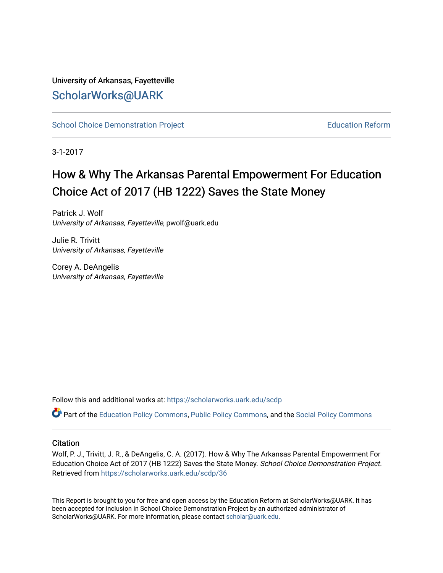# University of Arkansas, Fayetteville [ScholarWorks@UARK](https://scholarworks.uark.edu/)

[School Choice Demonstration Project](https://scholarworks.uark.edu/scdp) **Education Reform** Education Reform

3-1-2017

# How & Why The Arkansas Parental Empowerment For Education Choice Act of 2017 (HB 1222) Saves the State Money

Patrick J. Wolf University of Arkansas, Fayetteville, pwolf@uark.edu

Julie R. Trivitt University of Arkansas, Fayetteville

Corey A. DeAngelis University of Arkansas, Fayetteville

Follow this and additional works at: [https://scholarworks.uark.edu/scdp](https://scholarworks.uark.edu/scdp?utm_source=scholarworks.uark.edu%2Fscdp%2F36&utm_medium=PDF&utm_campaign=PDFCoverPages) 

Part of the [Education Policy Commons](http://network.bepress.com/hgg/discipline/1026?utm_source=scholarworks.uark.edu%2Fscdp%2F36&utm_medium=PDF&utm_campaign=PDFCoverPages), [Public Policy Commons](http://network.bepress.com/hgg/discipline/400?utm_source=scholarworks.uark.edu%2Fscdp%2F36&utm_medium=PDF&utm_campaign=PDFCoverPages), and the [Social Policy Commons](http://network.bepress.com/hgg/discipline/1030?utm_source=scholarworks.uark.edu%2Fscdp%2F36&utm_medium=PDF&utm_campaign=PDFCoverPages)

#### **Citation**

Wolf, P. J., Trivitt, J. R., & DeAngelis, C. A. (2017). How & Why The Arkansas Parental Empowerment For Education Choice Act of 2017 (HB 1222) Saves the State Money. School Choice Demonstration Project. Retrieved from [https://scholarworks.uark.edu/scdp/36](https://scholarworks.uark.edu/scdp/36?utm_source=scholarworks.uark.edu%2Fscdp%2F36&utm_medium=PDF&utm_campaign=PDFCoverPages) 

This Report is brought to you for free and open access by the Education Reform at ScholarWorks@UARK. It has been accepted for inclusion in School Choice Demonstration Project by an authorized administrator of ScholarWorks@UARK. For more information, please contact [scholar@uark.edu](mailto:scholar@uark.edu).